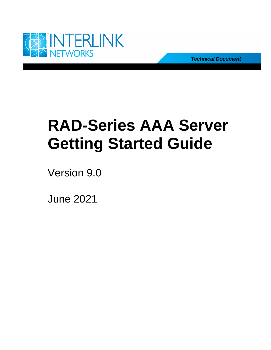

*Technical Document*

# **RAD-Series AAA Server Getting Started Guide**

Version 9.0

June 2021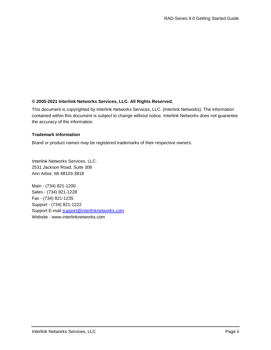#### **© 2005-2021 Interlink Networks Services, LLC. All Rights Reserved.**

This document is copyrighted by Interlink Networks Services, LLC. (Interlink Networks). The information contained within this document is subject to change without notice. Interlink Networks does not guarantee the accuracy of the information.

#### **Trademark Information**

Brand or product names may be registered trademarks of their respective owners.

Interlink Networks Services, LLC. 2531 Jackson Road, Suite 306 Ann Arbor, MI 48103-3818

Main - (734) 821-1200 Sales - (734) 821-1228 Fax - (734) 821-1235 Support - (734) 821-1222 Support E-mail support@interlinknetworks.com Website - www.interlinknetworks.com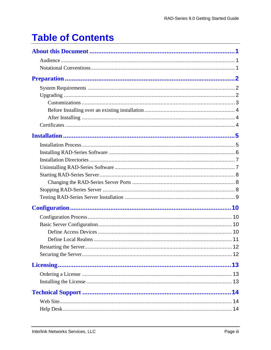## **Table of Contents**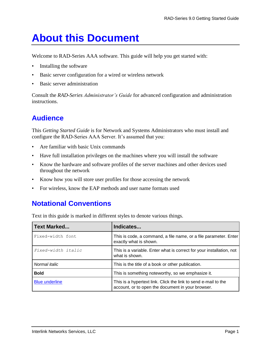## <span id="page-3-0"></span>**About this Document**

Welcome to RAD-Series AAA software. This guide will help you get started with:

- Installing the software
- Basic server configuration for a wired or wireless network
- Basic server administration

Consult the *RAD-Series Administrator's Guide* for advanced configuration and administration instructions.

## <span id="page-3-1"></span>**Audience**

This *Getting Started Guide* is for Network and Systems Administrators who must install and configure the RAD-Series AAA Server. It's assumed that you:

- Are familiar with basic Unix commands
- Have full installation privileges on the machines where you will install the software
- Know the hardware and software profiles of the server machines and other devices used throughout the network
- Know how you will store user profiles for those accessing the network
- <span id="page-3-2"></span>• For wireless, know the EAP methods and user name formats used

## **Notational Conventions**

Text in this guide is marked in different styles to denote various things.

| <b>Text Marked</b>    | Indicates                                                                                                           |
|-----------------------|---------------------------------------------------------------------------------------------------------------------|
| Fixed-width font      | This is code, a command, a file name, or a file parameter. Enter<br>exactly what is shown.                          |
| Fixed-width italic    | This is a variable. Enter what is correct for your installation, not<br>what is shown.                              |
| Normal <i>italic</i>  | This is the title of a book or other publication.                                                                   |
| <b>Bold</b>           | This is something noteworthy, so we emphasize it.                                                                   |
| <b>Blue underline</b> | This is a hypertext link. Click the link to send e-mail to the<br>account, or to open the document in your browser. |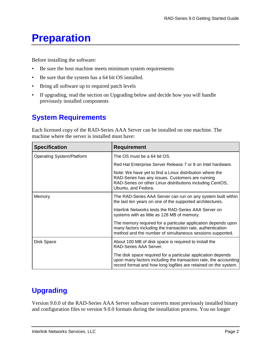## <span id="page-4-0"></span>**Preparation**

Before installing the software:

- Be sure the host machine meets minimum system requirements
- Be sure that the system has a 64 bit OS installed.
- Bring all software up to required patch levels
- If upgrading, read the section on Upgrading below and decide how you will handle previously installed components

## <span id="page-4-1"></span>**System Requirements**

Each licensed copy of the RAD-Series AAA Server can be installed on one machine. The machine where the server is installed must have:

| <b>Specification</b>             | <b>Requirement</b>                                                                                                                                                                                  |
|----------------------------------|-----------------------------------------------------------------------------------------------------------------------------------------------------------------------------------------------------|
| <b>Operating System/Platform</b> | The OS must be a 64 bit OS.                                                                                                                                                                         |
|                                  | Red Hat Enterprise Server Release 7 or 8 on Intel hardware.                                                                                                                                         |
|                                  | Note: We have yet to find a Linux distribution where the<br>RAD-Series has any issues. Customers are running<br>RAD-Series on other Linux distributions including CentOS,<br>Ubuntu, and Fedora.    |
| Memory                           | The RAD-Series AAA Server can run on any system built within<br>the last ten years on one of the supported architectures.                                                                           |
|                                  | Interlink Networks tests the RAD-Series AAA Server on<br>systems with as little as 128 MB of memory.                                                                                                |
|                                  | The memory required for a particular application depends upon<br>many factors including the transaction rate, authentication<br>method and the number of simultaneous sessions supported.           |
| Disk Space                       | About 100 MB of disk space is required to install the<br>RAD-Series AAA Server.                                                                                                                     |
|                                  | The disk space required for a particular application depends<br>upon many factors including the transaction rate, the accounting<br>record format and how long logfiles are retained on the system. |

## <span id="page-4-2"></span>**Upgrading**

Version 9.0.0 of the RAD-Series AAA Server software converts most previously installed binary and configuration files to version 9.0.0 formats during the installation process. You no longer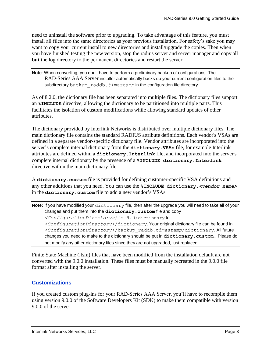need to uninstall the software prior to upgrading. To take advantage of this feature, you must install all files into the same directories as your previous installation. For safety's sake you may want to copy your current install to new directories and install/upgrade the copies. Then when you have finished testing the new version, stop the radius server and server manager and copy all **but** the log directory to the permanent directories and restart the server.

**Note**: When converting, you don't have to perform a preliminary backup of configurations. The RAD-Series AAA Server installer automatically backs up your current configuration files to the subdirectory backup raddb. timestamp in the configuration file directory.

As of 8.2.0, the dictionary file has been separated into multiple files. The dictionary files support an **%INCLUDE** directive, allowing the dictionary to be partitioned into multiple parts. This facilitates the isolation of custom modifications while allowing standard updates of other attributes.

The dictionary provided by Interlink Networks is distributed over multiple dictionary files. The main dictionary file contains the standard RADIUS attribute definitions. Each vendor's VSAs are defined in a separate vendor-specific dictionary file. Vendor attributes are incorporated into the server's complete internal dictionary from the **dictionary.VSAs** file, for example Interlink attributes are defined within a **dictionary.Interlink** file, and incorporated into the server's complete internal dictionary by the presence of a **%INCLUDE dictionary.Interlink** directive within the main dictionary file.

A **dictionary.custom** file is provided for defining customer-specific VSA definitions and any other additions that you need. You can use the **%INCLUDE dictionary.***<vendor name>* in the **dictionary.custom** file to add a new vendor's VSAs.

```
Note: If you have modified your dictionary file, then after the upgrade you will need to take all of your 
     changes and put them into the dictionary.custom file and copy 
      <ConfigurationDirectory>/fsm9.0/dictionary to
      <ConfigurationDirectory>/dictionary. Your original dictionary file can be found in 
      <ConfigurationDirectory>/backup_raddb.timestamp/dictionary. All future 
     changes you need to make to the dictionary should be put in dictionary.custom. Please do 
     not modify any other dictionary files since they are not upgraded, just replaced.
```
Finite State Machine (.fsm) files that have been modified from the installation default are not converted with the 9.0.0 installation. These files must be manually recreated in the 9.0.0 file format after installing the server.

#### <span id="page-5-0"></span>**Customizations**

If you created custom plug-ins for your RAD-Series AAA Server, you'll have to recompile them using version 9.0.0 of the Software Developers Kit (SDK) to make them compatible with version 9.0.0 of the server.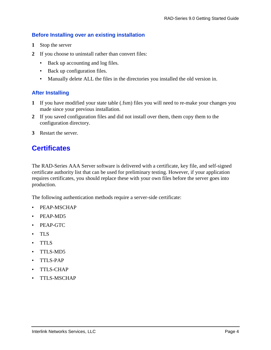#### <span id="page-6-0"></span>**Before Installing over an existing installation**

- **1** Stop the server
- **2** If you choose to uninstall rather than convert files:
	- Back up accounting and log files.
	- Back up configuration files.
	- Manually delete ALL the files in the directories you installed the old version in.

#### <span id="page-6-1"></span>**After Installing**

- **1** If you have modified your state table (.fsm) files you will need to re-make your changes you made since your previous installation.
- **2** If you saved configuration files and did not install over them, them copy them to the configuration directory.
- <span id="page-6-2"></span>**3** Restart the server.

### **Certificates**

The RAD-Series AAA Server software is delivered with a certificate, key file, and self-signed certificate authority list that can be used for preliminary testing. However, if your application requires certificates, you should replace these with your own files before the server goes into production.

The following authentication methods require a server-side certificate:

- PEAP-MSCHAP
- PEAP-MD5
- PEAP-GTC
- TLS
- TTLS
- TTLS-MD5
- TTLS-PAP
- TTLS-CHAP
- TTLS-MSCHAP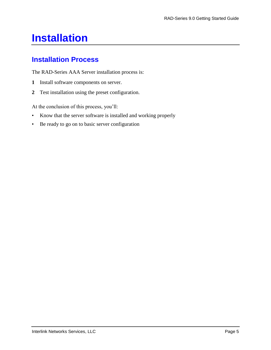## <span id="page-7-0"></span>**Installation**

## <span id="page-7-1"></span>**Installation Process**

The RAD-Series AAA Server installation process is:

- **1** Install software components on server.
- **2** Test installation using the preset configuration.

At the conclusion of this process, you'll:

- Know that the server software is installed and working properly
- Be ready to go on to basic server configuration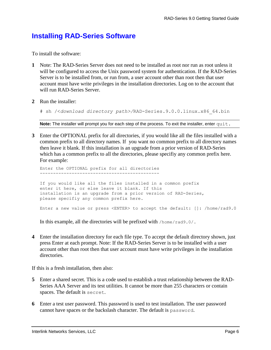### <span id="page-8-0"></span>**Installing RAD-Series Software**

To install the software:

- **1** Note: The RAD-Series Server does not need to be installed as root nor run as root unless it will be configured to access the Unix password system for authentication. If the RAD-Series Server is to be installed from, or run from, a user account other than root then that user account must have write privileges in the installation directories. Log on to the account that will run RAD-Series Server.
- **2** Run the installer:

# sh /<*download directory path>/*RAD-Series.9.0.0.linux.x86\_64.bin

Note: The installer will prompt you for each step of the process. To exit the installer, enter quit.

**3** Enter the OPTIONAL prefix for all directories, if you would like all the files installed with a common prefix to all directory names. If you want no common prefix to all directory names then leave it blank. If this installation is an upgrade from a prior version of RAD-Series which has a common prefix to all the directories, please specifiy any common prefix here. For example:

Enter the OPTIONAL prefix for all directories --------------------------------------------- If you would like all the files installed in a common prefix enter it here, or else leave it blank. If this installation is an upgrade from a prior version of RAD-Series, please specifiy any common prefix here.

Enter a new value or press <ENTER> to accept the default: []: /home/rad9.0

In this example, all the directories will be prefixed with /home/rad9.0/.

**4** Enter the installation directory for each file type. To accept the default directory shown, just press Enter at each prompt. Note: If the RAD-Series Server is to be installed with a user account other than root then that user account must have write privileges in the installation directories.

If this is a fresh installation, then also:

- **5** Enter a shared secret. This is a code used to establish a trust relationship between the RAD-Series AAA Server and its test utilities. It cannot be more than 255 characters or contain spaces. The default is secret.
- **6** Enter a test user password. This password is used to test installation. The user password cannot have spaces or the backslash character. The default is password.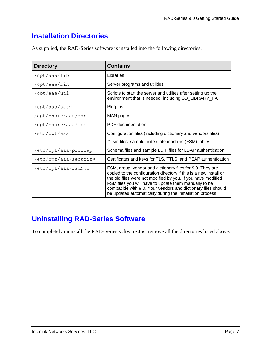## <span id="page-9-0"></span>**Installation Directories**

As supplied, the RAD-Series software is installed into the following directories:

| <b>Directory</b>      | <b>Contains</b>                                                                                                                                                                                                                                                                                                                                                                       |
|-----------------------|---------------------------------------------------------------------------------------------------------------------------------------------------------------------------------------------------------------------------------------------------------------------------------------------------------------------------------------------------------------------------------------|
| /opt/aaa/lib          | Libraries                                                                                                                                                                                                                                                                                                                                                                             |
| /opt/aaa/bin          | Server programs and utilities                                                                                                                                                                                                                                                                                                                                                         |
| /opt/aaa/utl          | Scripts to start the server and utilites after setting up the<br>environment that is needed, including SD_LIBRARY_PATH                                                                                                                                                                                                                                                                |
| /opt/aaa/aatv         | Plug-ins                                                                                                                                                                                                                                                                                                                                                                              |
| /opt/share/aaa/man    | MAN pages                                                                                                                                                                                                                                                                                                                                                                             |
| /opt/share/aaa/doc    | PDF documentation                                                                                                                                                                                                                                                                                                                                                                     |
| /etc/opt/aaa          | Configuration files (including dictionary and vendors files)                                                                                                                                                                                                                                                                                                                          |
|                       | *.fsm files: sample finite state machine (FSM) tables                                                                                                                                                                                                                                                                                                                                 |
| /etc/opt/aaa/proldap  | Schema files and sample LDIF files for LDAP authentication                                                                                                                                                                                                                                                                                                                            |
| /etc/opt/aaa/security | Certificates and keys for TLS, TTLS, and PEAP authentication                                                                                                                                                                                                                                                                                                                          |
| /etc/opt/aaa/fsm9.0   | FSM, group, vendor and dictionary files for 9.0. They are<br>copied to the configuration directory if this is a new install or<br>the old files were not modified by you. If you have modified<br>FSM files you will have to update them manually to be<br>compatible with 9.0. Your vendors and dictionary files should<br>be updated automatically during the installation process. |

## <span id="page-9-1"></span>**Uninstalling RAD-Series Software**

To completely uninstall the RAD-Series software Just remove all the directories listed above.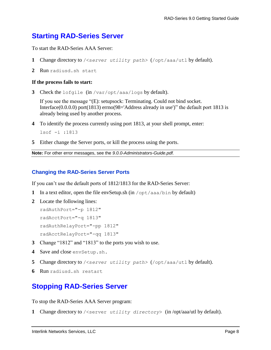### <span id="page-10-0"></span>**Starting RAD-Series Server**

To start the RAD-Series AAA Server:

- **1** Change directory to /<s*erver utility path>* (/opt/aaa/utl by default).
- **2** Run radiusd.sh start

#### **If the process fails to start:**

**3** Check the lofgile (in /var/opt/aaa/logs by default).

If you see the message "(E): setupsock: Terminating. Could not bind socket. Interface(0.0.0.0) port(1813) errno(98='Address already in use')" the default port 1813 is already being used by another process.

- **4** To identify the process currently using port 1813, at your shell prompt, enter: lsof -i :1813
- **5** Either change the Server ports, or kill the process using the ports.

**Note:** For other error messages, see the *9.0.0-Administrators-Guide.pdf.*

#### <span id="page-10-1"></span>**Changing the RAD-Series Server Ports**

If you can't use the default ports of 1812/1813 for the RAD-Series Server:

- **1** In a text editor, open the file envSetup.sh (in /opt/aaa/bin by default)
- **2** Locate the following lines:

radAuthPort="-p 1812" radAcctPort="-q 1813" radAuthRelayPort="-pp 1812" radAcctRelayPort="-qq 1813"

- **3** Change "1812" and "1813" to the ports you wish to use.
- **4** Save and close envSetup.sh.
- **5** Change directory to /<s*erver utility path>* (/opt/aaa/utl by default).
- <span id="page-10-2"></span>**6** Run radiusd.sh restart

### **Stopping RAD-Series Server**

To stop the RAD-Series AAA Server program:

**1** Change directory to /<server *utility directory*> (in /opt/aaa/utl by default).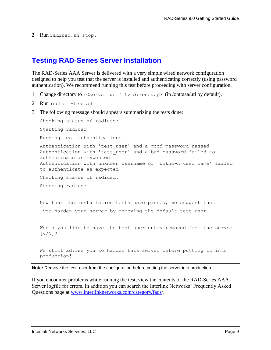**2** Run radiusd.sh stop.

### <span id="page-11-0"></span>**Testing RAD-Series Server Installation**

The RAD-Series AAA Server is delivered with a very simple wired network configuration designed to help you test that the server is installed and authenticating correctly (using password authentication). We recommend running this test before proceeding with server configuration.

- 1 Change directory to /<server *utility directory*> (in /opt/aaa/utl by default).
- 2 Run install-test.sh
- 3 The following message should appears summarizing the tests done:

```
Checking status of radiusd:
Starting radiusd:
Running test authentications:
Authentication with 'test_user' and a good password passed
Authentication with 'test_user' and a bad password failed to 
authenticate as expected
Authentication with unknown username of 'unknown user name' failed
to authenticate as expected
Checking status of radiusd:
Stopping radiusd:
```
Now that the installation tests have passed, we suggest that you harden your server by removing the default test user.

Would you like to have the test user entry removed from the server [y/N]?

We still advise you to harden this server before putting it into production!

**Note:** Remove the test\_user from the configuration before putting the server into production.

If you encounter problems while running the test, view the contents of the RAD-Series AAA Server logfile for errors. In addition you can search the Interlink Networks' Frequently Asked Questions page at www.interlinknetworks.com/category/faqs/.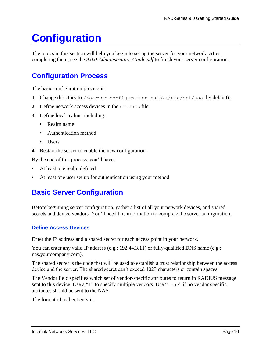## <span id="page-12-0"></span>**Configuration**

The topics in this section will help you begin to set up the server for your network. After completing them, see the *9.0.0-Administrators-Guide.pdf* to finish your server configuration.

## <span id="page-12-1"></span>**Configuration Process**

The basic configuration process is:

- **1** Change directory to /<server configuration path> (/etc/opt/aaa by default)..
- **2** Define network access devices in the clients file.
- **3** Define local realms, including:
	- Realm name
	- Authentication method
	- Users
- **4** Restart the server to enable the new configuration.

By the end of this process, you'll have:

- At least one realm defined
- <span id="page-12-2"></span>At least one user set up for authentication using your method

### **Basic Server Configuration**

Before beginning server configuration, gather a list of all your network devices, and shared secrets and device vendors. You'll need this information to complete the server configuration.

#### <span id="page-12-3"></span>**Define Access Devices**

Enter the IP address and a shared secret for each access point in your network.

You can enter any valid IP address (e.g.: 192.44.3.11) or fully-qualified DNS name (e.g.: nas.yourcompany.com).

The shared secret is the code that will be used to establish a trust relationship between the access device and the server. The shared secret can't exceed 1023 characters or contain spaces.

The Vendor field specifies which set of vendor-specific attributes to return in RADIUS message sent to this device. Use a "+" to specify multiple vendors. Use "none" if no vendor specific attributes should be sent to the NAS.

The format of a client enty is: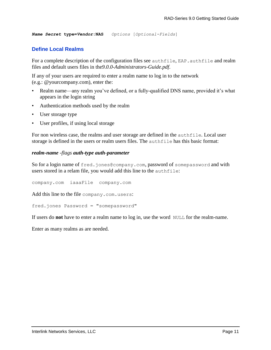<span id="page-13-0"></span>*Name Secret* **type=***Vendor***:NAS** *Options* [*Optional-Fields*]

#### **Define Local Realms**

For a complete description of the configuration files see authfile, EAP. authfile and realm files and default users files in the*9.0.0-Administrators-Guide.pdf*.

If any of your users are required to enter a realm name to log in to the network (e.g.: @yourcompany.com), enter the:

- Realm name—any realm you've defined, or a fully-qualified DNS name, provided it's what appears in the login string
- Authentication methods used by the realm
- User storage type
- User profiles, if using local storage

For non wireless case, the realms and user storage are defined in the authfile. Local user storage is defined in the users or realm users files. The authfile has this basic format:

#### *realm-name -flags auth-type auth-parameter*

So for a login name of fred.jones@company.com, password of somepassword and with users stored in a relam file, you would add this line to the authfile:

company.com iaaaFile company.com

Add this line to the file company.com.users:

fred.jones Password = "somepassword"

If users do **not** have to enter a realm name to log in, use the word NULL for the realm-name.

Enter as many realms as are needed.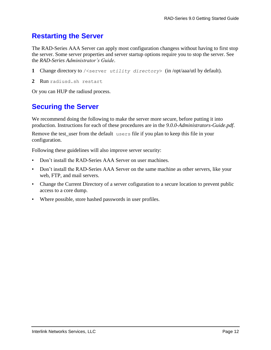## <span id="page-14-0"></span>**Restarting the Server**

The RAD-Series AAA Server can apply most configuration changess without having to first stop the server. Some server properties and server startup options require you to stop the server. See the *RAD-Series Administrator's Guide*.

- **1** Change directory to /<server *utility directory*> (in /opt/aaa/utl by default).
- **2** Run radiusd.sh restart

<span id="page-14-1"></span>Or you can HUP the radiusd process.

## **Securing the Server**

We recommend doing the following to make the server more secure, before putting it into production. Instructions for each of these procedures are in the *9.0.0-Administrators-Guide.pdf*.

Remove the test user from the default users file if you plan to keep this file in your configuration.

Following these guidelines will also improve server security:

- Don't install the RAD-Series AAA Server on user machines.
- Don't install the RAD-Series AAA Server on the same machine as other servers, like your web, FTP, and mail servers.
- Change the Current Directory of a server cofiguration to a secure location to prevent public access to a core dump.
- Where possible, store hashed passwords in user profiles.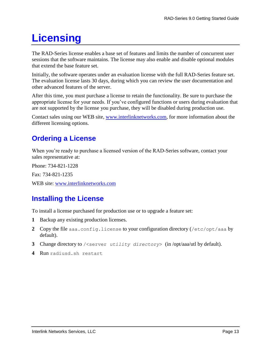## <span id="page-15-0"></span>**Licensing**

The RAD-Series license enables a base set of features and limits the number of concurrent user sessions that the software maintains. The license may also enable and disable optional modules that extend the base feature set.

Initially, the software operates under an evaluation license with the full RAD-Series feature set. The evaluation license lasts 30 days, during which you can review the user documentation and other advanced features of the server.

After this time, you must purchase a license to retain the functionality. Be sure to purchase the appropriate license for your needs. If you've configured functions or users during evaluation that are not supported by the license you purchase, they will be disabled during production use.

Contact sales using our WEB site, www.interlinknetworks.com, for more information about the different licensing options.

## <span id="page-15-1"></span>**Ordering a License**

When you're ready to purchase a licensed version of the RAD-Series software, contact your sales representative at:

Phone: 734-821-1228

Fax: 734-821-1235

<span id="page-15-2"></span>WEB site: www.interlinknetworks.com

## **Installing the License**

To install a license purchased for production use or to upgrade a feature set:

- **1** Backup any existing production licenses.
- **2** Copy the file aaa.config.license to your configuration directory (/etc/opt/aaa by default).
- **3** Change directory to /<server *utility directory*> (in /opt/aaa/utl by default).
- **4** Run radiusd.sh restart